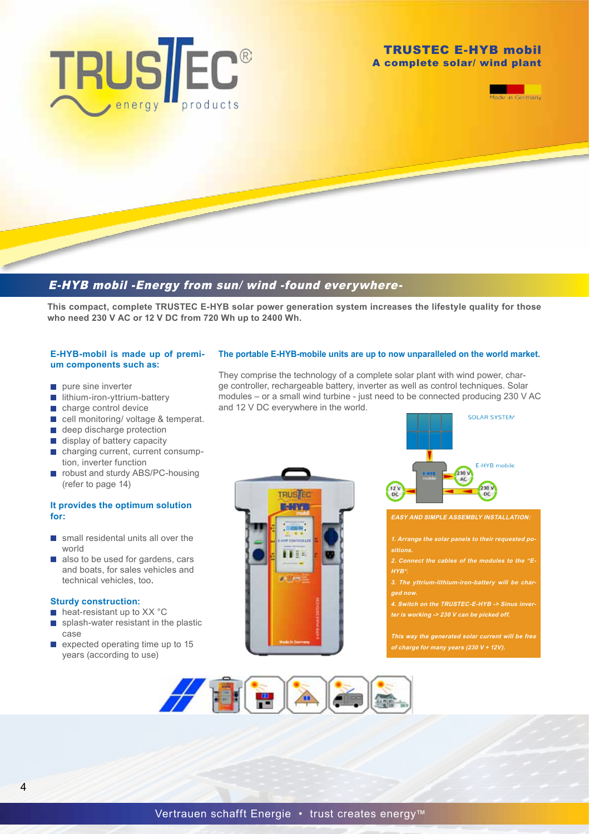



# E-HYB mobil -Energy from sun/ wind -found everywhere-

**This compact, complete TRUSTEC E-HYB solar power generation system increases the lifestyle quality for those who need 230 V AC or 12 V DC from 720 Wh up to 2400 Wh.**

#### **E-HYB-mobil is made up of premium components such as:**

- $\blacksquare$  pure sine inverter
- $\blacksquare$  lithium-iron-yttrium-battery
- charge control device
- cell monitoring/ voltage & temperat.
- e deep discharge protection
- display of battery capacity
- charging current, current consumption, inverter function
- robust and sturdy ABS/PC-housing (refer to page 14)

### **It provides the optimum solution for:**

- small residental units all over the world
- also to be used for gardens, cars and boats, for sales vehicles and technical vehicles, too.

#### **Sturdy construction:**

- $\blacksquare$  heat-resistant up to XX °C
- splash-water resistant in the plastic  $\mathcal{C}^{\mathcal{A}}$ case
- $\blacksquare$  expected operating time up to 15 years (according to use)

#### **The portable E-HYB-mobile units are up to now unparalleled on the world market.**

They comprise the technology of a complete solar plant with wind power, charge controller, rechargeable battery, inverter as well as control techniques. Solar modules – or a small wind turbine - just need to be connected producing 230 V AC and 12 V DC everywhere in the world.





#### **EASY AND SIMPLE ASSEMBLY INSTALLATION:**

- **1. Arrange the solar panels to their requested po-**
- **2. Connect the cables of the modules to the "E-HYB".**
- **ged now.**
- **4. Switch on the TRUSTEC-E-HYB -> Sinus inverter is working -> 230 V can be picked off.**

**This way the generated solar current will be free of charge for many years (230 V + 12V).**